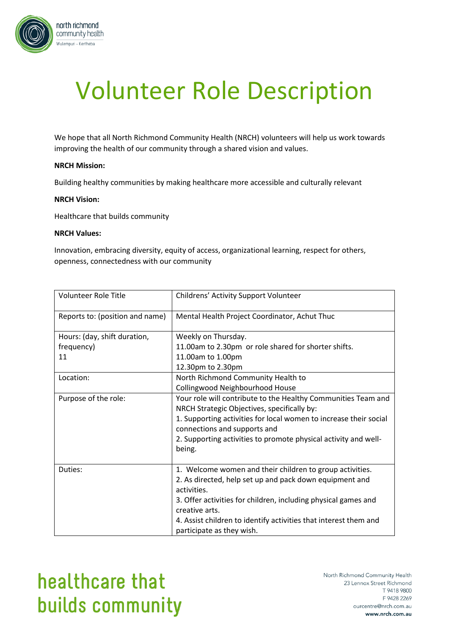

# Volunteer Role Description

We hope that all North Richmond Community Health (NRCH) volunteers will help us work towards improving the health of our community through a shared vision and values.

### **NRCH Mission:**

Building healthy communities by making healthcare more accessible and culturally relevant

#### **NRCH Vision:**

Healthcare that builds community

#### **NRCH Values:**

Innovation, embracing diversity, equity of access, organizational learning, respect for others, openness, connectedness with our community

| Volunteer Role Title            | Childrens' Activity Support Volunteer                                                         |
|---------------------------------|-----------------------------------------------------------------------------------------------|
| Reports to: (position and name) | Mental Health Project Coordinator, Achut Thuc                                                 |
| Hours: (day, shift duration,    | Weekly on Thursday.                                                                           |
| frequency)                      | 11.00am to 2.30pm or role shared for shorter shifts.                                          |
| 11                              | 11.00am to 1.00pm                                                                             |
|                                 | 12.30pm to 2.30pm                                                                             |
| Location:                       | North Richmond Community Health to                                                            |
|                                 | Collingwood Neighbourhood House                                                               |
| Purpose of the role:            | Your role will contribute to the Healthy Communities Team and                                 |
|                                 | NRCH Strategic Objectives, specifically by:                                                   |
|                                 | 1. Supporting activities for local women to increase their social                             |
|                                 | connections and supports and                                                                  |
|                                 | 2. Supporting activities to promote physical activity and well-                               |
|                                 | being.                                                                                        |
|                                 |                                                                                               |
| Duties:                         | 1. Welcome women and their children to group activities.                                      |
|                                 | 2. As directed, help set up and pack down equipment and                                       |
|                                 | activities.                                                                                   |
|                                 | 3. Offer activities for children, including physical games and                                |
|                                 | creative arts.                                                                                |
|                                 | 4. Assist children to identify activities that interest them and<br>participate as they wish. |

## healthcare that builds community

North Richmond Community Health 23 Lennox Street Richmond T 9418 9800 F 9428 2269 ourcentre@nrch.com.au www.nrch.com.au